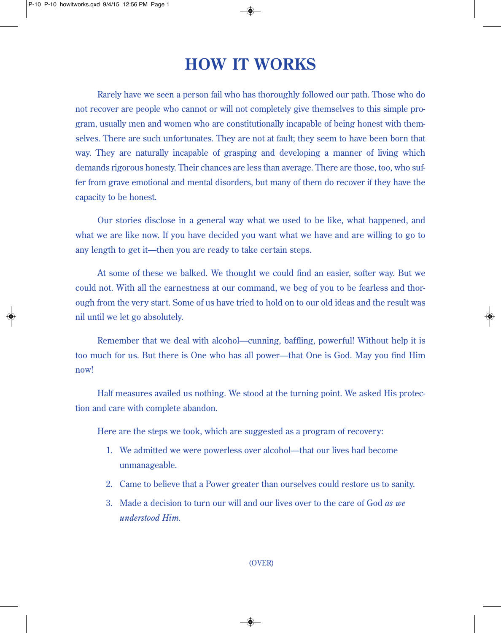## **HOW IT WORKS**

Rarely have we seen a person fail who has thoroughly followed our path. Those who do not recover are people who cannot or will not completely give themselves to this simple program, usually men and women who are constitutionally incapable of being honest with themselves. There are such unfortunates. They are not at fault; they seem to have been born that way. They are naturally incapable of grasping and developing a manner of living which demands rigorous honesty. Their chances are less than average. There are those, too, who suffer from grave emotional and mental disorders, but many of them do recover if they have the capacity to be honest.

Our stories disclose in a general way what we used to be like, what happened, and what we are like now. If you have decided you want what we have and are willing to go to any length to get it—then you are ready to take certain steps.

At some of these we balked. We thought we could find an easier, softer way. But we could not. With all the earnestness at our command, we beg of you to be fearless and thorough from the very start. Some of us have tried to hold on to our old ideas and the result was nil until we let go absolutely.

Remember that we deal with alcohol—cunning, baffling, powerful! Without help it is too much for us. But there is One who has all power—that One is God. May you find Him now!

Half measures availed us nothing. We stood at the turning point. We asked His protection and care with complete abandon.

Here are the steps we took, which are suggested as a program of recovery:

- 1. We admitted we were powerless over alcohol—that our lives had become unmanageable.
- 2. Came to believe that a Power greater than ourselves could restore us to sanity.
- 3. Made a decision to turn our will and our lives over to the care of God *as we understood Him.*